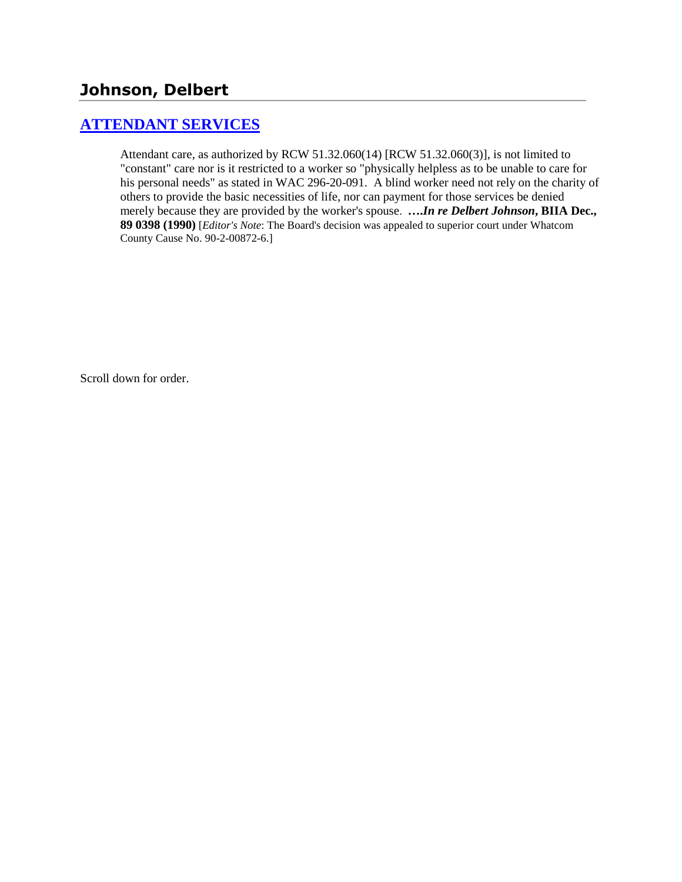# **[ATTENDANT SERVICES](http://www.biia.wa.gov/SDSubjectIndex.html#ATTENDANT_SERVICES)**

Attendant care, as authorized by RCW 51.32.060(14) [RCW 51.32.060(3)], is not limited to "constant" care nor is it restricted to a worker so "physically helpless as to be unable to care for his personal needs" as stated in WAC 296-20-091. A blind worker need not rely on the charity of others to provide the basic necessities of life, nor can payment for those services be denied merely because they are provided by the worker's spouse. **….***In re Delbert Johnson***, BIIA Dec., 89 0398 (1990)** [*Editor's Note*: The Board's decision was appealed to superior court under Whatcom County Cause No. 90-2-00872-6.]

Scroll down for order.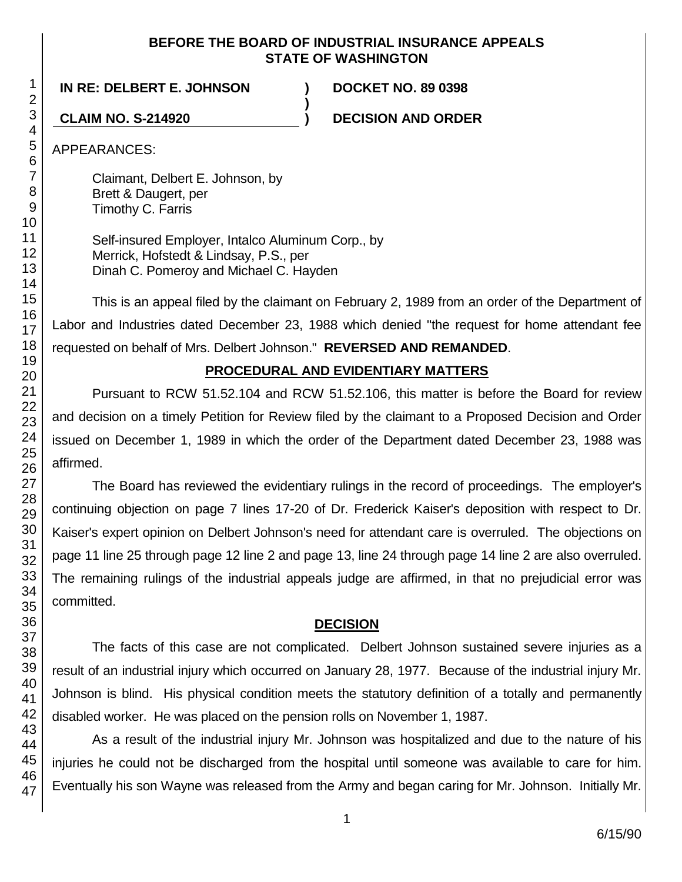#### **BEFORE THE BOARD OF INDUSTRIAL INSURANCE APPEALS STATE OF WASHINGTON**

**)**

**IN RE: DELBERT E. JOHNSON ) DOCKET NO. 89 0398**

**CLAIM NO. S-214920 ) DECISION AND ORDER**

APPEARANCES:

Claimant, Delbert E. Johnson, by Brett & Daugert, per Timothy C. Farris

Self-insured Employer, Intalco Aluminum Corp., by Merrick, Hofstedt & Lindsay, P.S., per Dinah C. Pomeroy and Michael C. Hayden

This is an appeal filed by the claimant on February 2, 1989 from an order of the Department of Labor and Industries dated December 23, 1988 which denied "the request for home attendant fee requested on behalf of Mrs. Delbert Johnson." **REVERSED AND REMANDED**.

# **PROCEDURAL AND EVIDENTIARY MATTERS**

Pursuant to RCW 51.52.104 and RCW 51.52.106, this matter is before the Board for review and decision on a timely Petition for Review filed by the claimant to a Proposed Decision and Order issued on December 1, 1989 in which the order of the Department dated December 23, 1988 was affirmed.

The Board has reviewed the evidentiary rulings in the record of proceedings. The employer's continuing objection on page 7 lines 17-20 of Dr. Frederick Kaiser's deposition with respect to Dr. Kaiser's expert opinion on Delbert Johnson's need for attendant care is overruled. The objections on page 11 line 25 through page 12 line 2 and page 13, line 24 through page 14 line 2 are also overruled. The remaining rulings of the industrial appeals judge are affirmed, in that no prejudicial error was committed.

# **DECISION**

The facts of this case are not complicated. Delbert Johnson sustained severe injuries as a result of an industrial injury which occurred on January 28, 1977. Because of the industrial injury Mr. Johnson is blind. His physical condition meets the statutory definition of a totally and permanently disabled worker. He was placed on the pension rolls on November 1, 1987.

As a result of the industrial injury Mr. Johnson was hospitalized and due to the nature of his injuries he could not be discharged from the hospital until someone was available to care for him. Eventually his son Wayne was released from the Army and began caring for Mr. Johnson. Initially Mr.

1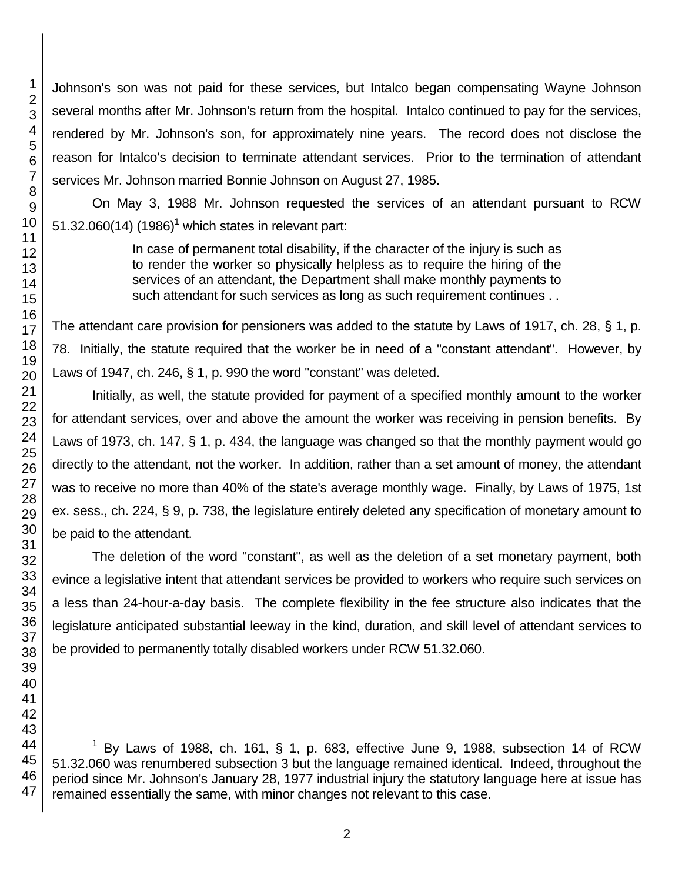Johnson's son was not paid for these services, but Intalco began compensating Wayne Johnson several months after Mr. Johnson's return from the hospital. Intalco continued to pay for the services, rendered by Mr. Johnson's son, for approximately nine years. The record does not disclose the reason for Intalco's decision to terminate attendant services. Prior to the termination of attendant services Mr. Johnson married Bonnie Johnson on August 27, 1985.

On May 3, 1988 Mr. Johnson requested the services of an attendant pursuant to RCW 51.32.060(14) (1986)<sup>1</sup> which states in relevant part:

> In case of permanent total disability, if the character of the injury is such as to render the worker so physically helpless as to require the hiring of the services of an attendant, the Department shall make monthly payments to such attendant for such services as long as such requirement continues . .

The attendant care provision for pensioners was added to the statute by Laws of 1917, ch. 28, § 1, p. 78. Initially, the statute required that the worker be in need of a "constant attendant". However, by Laws of 1947, ch. 246, § 1, p. 990 the word "constant" was deleted.

Initially, as well, the statute provided for payment of a specified monthly amount to the worker for attendant services, over and above the amount the worker was receiving in pension benefits. By Laws of 1973, ch. 147, § 1, p. 434, the language was changed so that the monthly payment would go directly to the attendant, not the worker. In addition, rather than a set amount of money, the attendant was to receive no more than 40% of the state's average monthly wage. Finally, by Laws of 1975, 1st ex. sess., ch. 224, § 9, p. 738, the legislature entirely deleted any specification of monetary amount to be paid to the attendant.

The deletion of the word "constant", as well as the deletion of a set monetary payment, both evince a legislative intent that attendant services be provided to workers who require such services on a less than 24-hour-a-day basis. The complete flexibility in the fee structure also indicates that the legislature anticipated substantial leeway in the kind, duration, and skill level of attendant services to be provided to permanently totally disabled workers under RCW 51.32.060.

l By Laws of 1988, ch. 161, § 1, p. 683, effective June 9, 1988, subsection 14 of RCW 51.32.060 was renumbered subsection 3 but the language remained identical. Indeed, throughout the period since Mr. Johnson's January 28, 1977 industrial injury the statutory language here at issue has remained essentially the same, with minor changes not relevant to this case.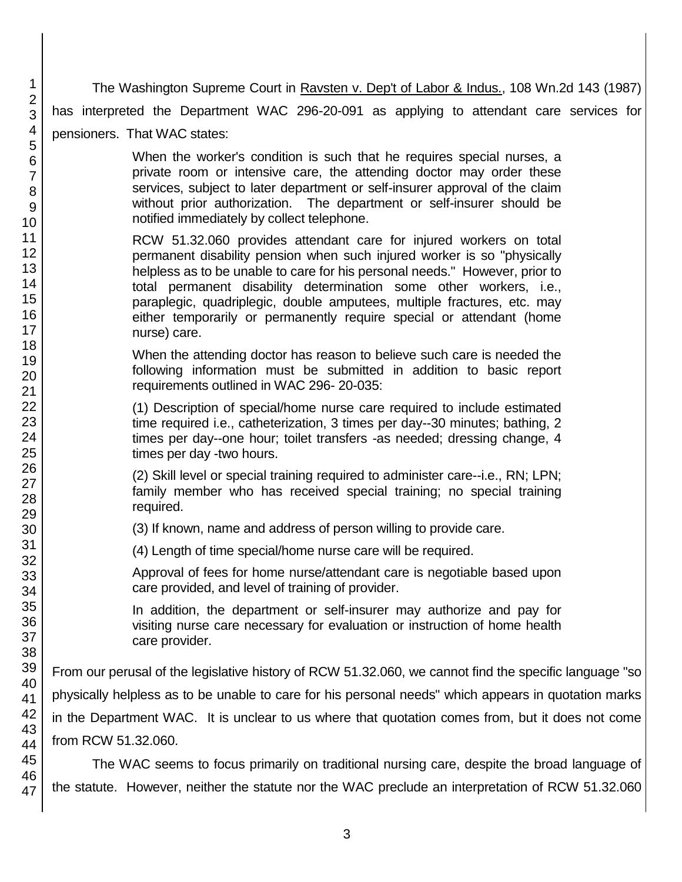The Washington Supreme Court in Ravsten v. Dep't of Labor & Indus., 108 Wn.2d 143 (1987) has interpreted the Department WAC 296-20-091 as applying to attendant care services for pensioners. That WAC states: When the worker's condition is such that he requires special nurses, a

private room or intensive care, the attending doctor may order these services, subject to later department or self-insurer approval of the claim without prior authorization. The department or self-insurer should be notified immediately by collect telephone.

RCW 51.32.060 provides attendant care for injured workers on total permanent disability pension when such injured worker is so "physically helpless as to be unable to care for his personal needs." However, prior to total permanent disability determination some other workers, i.e., paraplegic, quadriplegic, double amputees, multiple fractures, etc. may either temporarily or permanently require special or attendant (home nurse) care.

When the attending doctor has reason to believe such care is needed the following information must be submitted in addition to basic report requirements outlined in WAC 296- 20-035:

(1) Description of special/home nurse care required to include estimated time required i.e., catheterization, 3 times per day--30 minutes; bathing, 2 times per day--one hour; toilet transfers -as needed; dressing change, 4 times per day -two hours.

(2) Skill level or special training required to administer care--i.e., RN; LPN; family member who has received special training; no special training required.

(3) If known, name and address of person willing to provide care.

(4) Length of time special/home nurse care will be required.

Approval of fees for home nurse/attendant care is negotiable based upon care provided, and level of training of provider.

In addition, the department or self-insurer may authorize and pay for visiting nurse care necessary for evaluation or instruction of home health care provider.

From our perusal of the legislative history of RCW 51.32.060, we cannot find the specific language "so physically helpless as to be unable to care for his personal needs" which appears in quotation marks in the Department WAC. It is unclear to us where that quotation comes from, but it does not come from RCW 51.32.060.

The WAC seems to focus primarily on traditional nursing care, despite the broad language of the statute. However, neither the statute nor the WAC preclude an interpretation of RCW 51.32.060

47

1 2 3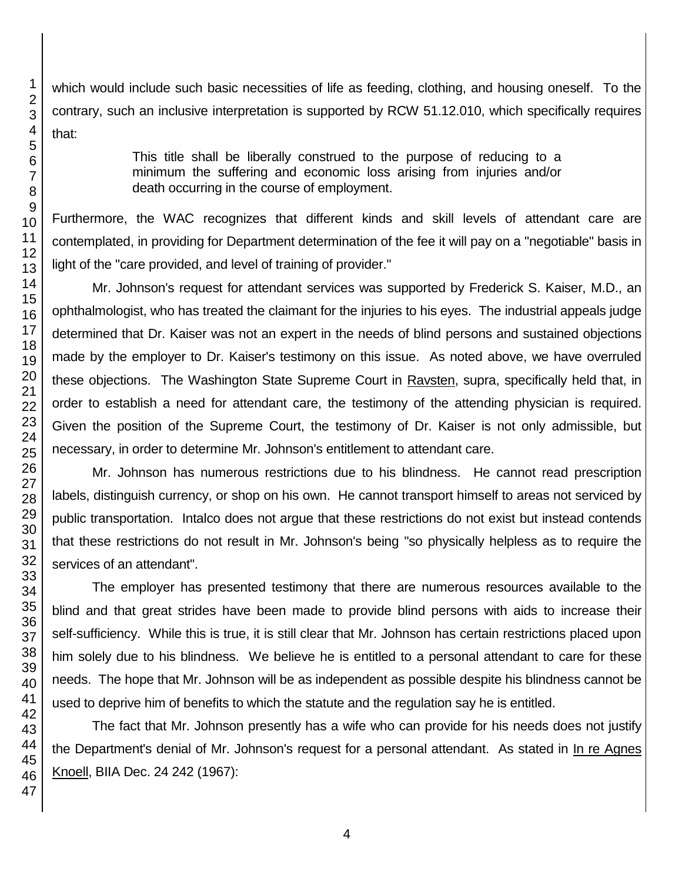which would include such basic necessities of life as feeding, clothing, and housing oneself. To the contrary, such an inclusive interpretation is supported by RCW 51.12.010, which specifically requires that:

> This title shall be liberally construed to the purpose of reducing to a minimum the suffering and economic loss arising from injuries and/or death occurring in the course of employment.

Furthermore, the WAC recognizes that different kinds and skill levels of attendant care are contemplated, in providing for Department determination of the fee it will pay on a "negotiable" basis in light of the "care provided, and level of training of provider."

Mr. Johnson's request for attendant services was supported by Frederick S. Kaiser, M.D., an ophthalmologist, who has treated the claimant for the injuries to his eyes. The industrial appeals judge determined that Dr. Kaiser was not an expert in the needs of blind persons and sustained objections made by the employer to Dr. Kaiser's testimony on this issue. As noted above, we have overruled these objections. The Washington State Supreme Court in Ravsten, supra, specifically held that, in order to establish a need for attendant care, the testimony of the attending physician is required. Given the position of the Supreme Court, the testimony of Dr. Kaiser is not only admissible, but necessary, in order to determine Mr. Johnson's entitlement to attendant care.

Mr. Johnson has numerous restrictions due to his blindness. He cannot read prescription labels, distinguish currency, or shop on his own. He cannot transport himself to areas not serviced by public transportation. Intalco does not argue that these restrictions do not exist but instead contends that these restrictions do not result in Mr. Johnson's being "so physically helpless as to require the services of an attendant".

The employer has presented testimony that there are numerous resources available to the blind and that great strides have been made to provide blind persons with aids to increase their self-sufficiency. While this is true, it is still clear that Mr. Johnson has certain restrictions placed upon him solely due to his blindness. We believe he is entitled to a personal attendant to care for these needs. The hope that Mr. Johnson will be as independent as possible despite his blindness cannot be used to deprive him of benefits to which the statute and the regulation say he is entitled.

The fact that Mr. Johnson presently has a wife who can provide for his needs does not justify the Department's denial of Mr. Johnson's request for a personal attendant. As stated in In re Agnes Knoell, BIIA Dec. 24 242 (1967):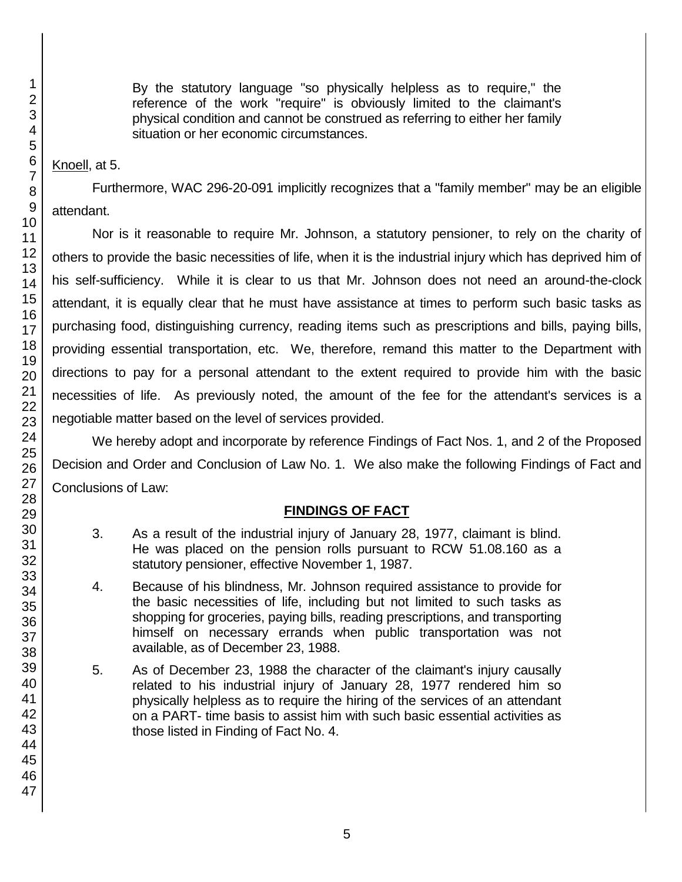By the statutory language "so physically helpless as to require," the reference of the work "require" is obviously limited to the claimant's physical condition and cannot be construed as referring to either her family situation or her economic circumstances.

## Knoell, at 5.

Furthermore, WAC 296-20-091 implicitly recognizes that a "family member" may be an eligible attendant.

Nor is it reasonable to require Mr. Johnson, a statutory pensioner, to rely on the charity of others to provide the basic necessities of life, when it is the industrial injury which has deprived him of his self-sufficiency. While it is clear to us that Mr. Johnson does not need an around-the-clock attendant, it is equally clear that he must have assistance at times to perform such basic tasks as purchasing food, distinguishing currency, reading items such as prescriptions and bills, paying bills, providing essential transportation, etc. We, therefore, remand this matter to the Department with directions to pay for a personal attendant to the extent required to provide him with the basic necessities of life. As previously noted, the amount of the fee for the attendant's services is a negotiable matter based on the level of services provided.

We hereby adopt and incorporate by reference Findings of Fact Nos. 1, and 2 of the Proposed Decision and Order and Conclusion of Law No. 1. We also make the following Findings of Fact and Conclusions of Law:

# **FINDINGS OF FACT**

- 3. As a result of the industrial injury of January 28, 1977, claimant is blind. He was placed on the pension rolls pursuant to RCW 51.08.160 as a statutory pensioner, effective November 1, 1987.
- 4. Because of his blindness, Mr. Johnson required assistance to provide for the basic necessities of life, including but not limited to such tasks as shopping for groceries, paying bills, reading prescriptions, and transporting himself on necessary errands when public transportation was not available, as of December 23, 1988.
- 5. As of December 23, 1988 the character of the claimant's injury causally related to his industrial injury of January 28, 1977 rendered him so physically helpless as to require the hiring of the services of an attendant on a PART- time basis to assist him with such basic essential activities as those listed in Finding of Fact No. 4.